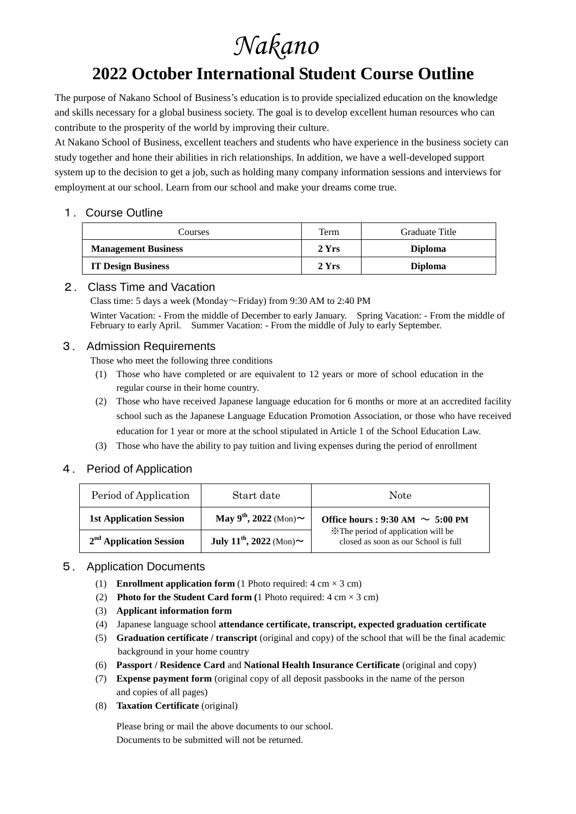# *Nakano*

## **2022 October International Student Course Outline**

The purpose of Nakano School of Business's education is to provide specialized education on the knowledge and skills necessary for a global business society. The goal is to develop excellent human resources who can contribute to the prosperity of the world by improving their culture.

At Nakano School of Business, excellent teachers and students who have experience in the business society can study together and hone their abilities in rich relationships. In addition, we have a well-developed support system up to the decision to get a job, such as holding many company information sessions and interviews for employment at our school. Learn from our school and make your dreams come true.

#### 1. Course Outline

| Courses                    | Term  | Graduate Title |
|----------------------------|-------|----------------|
| <b>Management Business</b> | 2 Yrs | <b>Diploma</b> |
| <b>IT Design Business</b>  | 2 Yrs | <b>Diploma</b> |

#### 2. Class Time and Vacation

Class time: 5 days a week (Monday~Friday) from 9:30 AM to 2:40 PM

Winter Vacation: - From the middle of December to early January. Spring Vacation: - From the middle of February to early April. Summer Vacation: - From the middle of July to early September.

#### 3. Admission Requirements

Those who meet the following three conditions

- (1) Those who have completed or are equivalent to 12 years or more of school education in the regular course in their home country.
- (2) Those who have received Japanese language education for 6 months or more at an accredited facility school such as the Japanese Language Education Promotion Association, or those who have received education for 1 year or more at the school stipulated in Article 1 of the School Education Law.
- (3) Those who have the ability to pay tuition and living expenses during the period of enrollment

#### 4. Period of Application

| Period of Application          | Start date                                | <b>Note</b>                                                                                                         |  |
|--------------------------------|-------------------------------------------|---------------------------------------------------------------------------------------------------------------------|--|
| <b>1st Application Session</b> | May $9^{th}$ , 2022 (Mon) $\sim$          | Office hours : 9:30 AM $\sim 5:00$ PM<br>*The period of application will be<br>closed as soon as our School is full |  |
| $2nd$ Application Session      | July 11 <sup>th</sup> , 2022 (Mon) $\sim$ |                                                                                                                     |  |

#### 5. Application Documents

- (1) **Enrollment application form** (1 Photo required:  $4 \text{ cm} \times 3 \text{ cm}$ )
- (2) **Photo for the Student Card form (**1 Photo required: 4 cm × 3 cm)
- (3) **Applicant information form**
- (4)Japanese language school **attendance certificate, transcript, expected graduation certificate**
- (5) **Graduation certificate / transcript** (original and copy) of the school that will be the final academic background in your home country
- (6) **Passport / Residence Card** and **National Health Insurance Certificate** (original and copy)
- (7) **Expense payment form** (original copy of all deposit passbooks in the name of the person and copies of all pages)
- (8) **Taxation Certificate** (original)

Please bring or mail the above documents to our school. Documents to be submitted will not be returned.